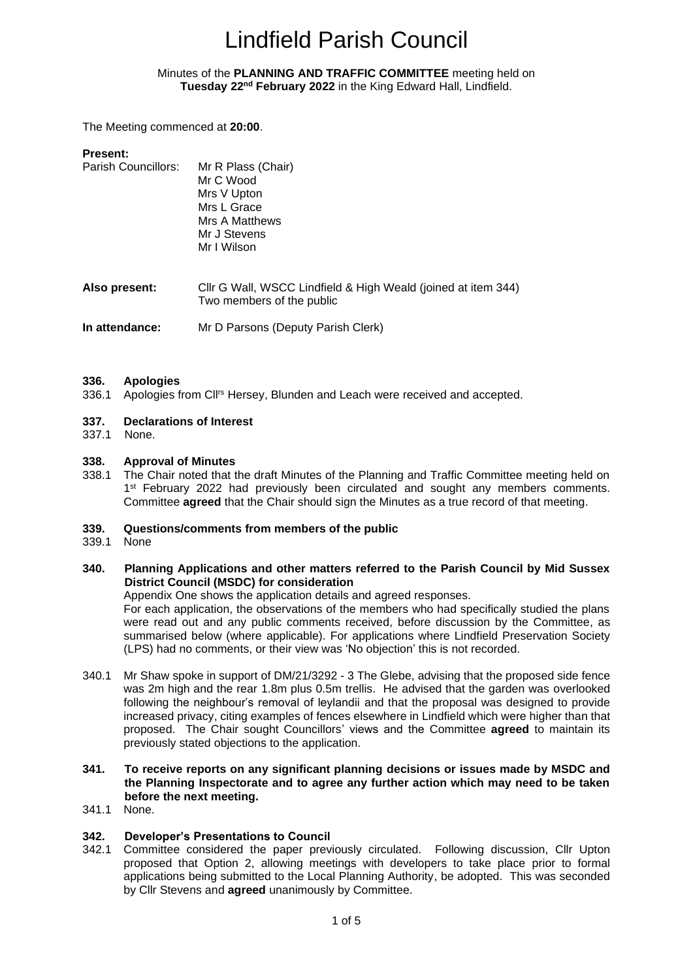#### <span id="page-0-1"></span><span id="page-0-0"></span>Minutes of the **PLANNING AND TRAFFIC COMMITTEE** meeting held on **Tuesday 22nd February 2022** in the King Edward Hall, Lindfield.

The Meeting commenced at **20:00**.

| <b>Present:</b><br><b>Parish Councillors:</b> | Mr R Plass (Chair)<br>Mr C Wood<br>Mrs V Upton<br>Mrs L Grace<br>Mrs A Matthews<br>Mr J Stevens<br>Mr I Wilson |  |  |  |
|-----------------------------------------------|----------------------------------------------------------------------------------------------------------------|--|--|--|
| Also present:                                 | Cllr G Wall, WSCC Lindfield & High Weald (joined at item 344)<br>Two members of the public                     |  |  |  |
| In attendance:                                | Mr D Parsons (Deputy Parish Clerk)                                                                             |  |  |  |

#### **336. Apologies**

336.1 Apologies from Cl<sup>rs</sup> Hersey, Blunden and Leach were received and accepted.

#### **337. Declarations of Interest**

337.1 None.

#### **338. Approval of Minutes**

338.1 The Chair noted that the draft Minutes of the Planning and Traffic Committee meeting held on 1<sup>st</sup> February 2022 had previously been circulated and sought any members comments. Committee **agreed** that the Chair should sign the Minutes as a true record of that meeting.

#### **339. Questions/comments from members of the public**

- 339.1 None
- **340. Planning Applications and other matters referred to the Parish Council by Mid Sussex District Council (MSDC) for consideration**

Appendix One shows the application details and agreed responses.

For each application, the observations of the members who had specifically studied the plans were read out and any public comments received, before discussion by the Committee, as summarised below (where applicable). For applications where Lindfield Preservation Society (LPS) had no comments, or their view was 'No objection' this is not recorded.

- 340.1 Mr Shaw spoke in support of DM/21/3292 3 The Glebe, advising that the proposed side fence was 2m high and the rear 1.8m plus 0.5m trellis. He advised that the garden was overlooked following the neighbour's removal of leylandii and that the proposal was designed to provide increased privacy, citing examples of fences elsewhere in Lindfield which were higher than that proposed. The Chair sought Councillors' views and the Committee **agreed** to maintain its previously stated objections to the application.
- **341. To receive reports on any significant planning decisions or issues made by MSDC and the Planning Inspectorate and to agree any further action which may need to be taken before the next meeting.**
- 341.1 None.

#### **342. Developer's Presentations to Council**

342.1 Committee considered the paper previously circulated. Following discussion, Cllr Upton proposed that Option 2, allowing meetings with developers to take place prior to formal applications being submitted to the Local Planning Authority, be adopted. This was seconded by Cllr Stevens and **agreed** unanimously by Committee.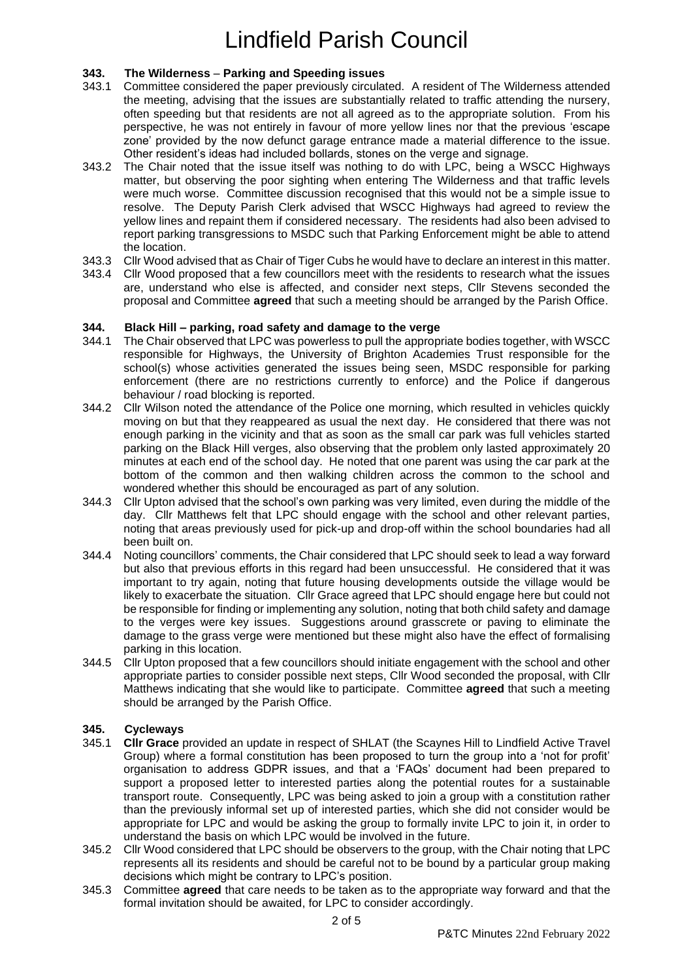#### **343. The Wilderness** – **Parking and Speeding issues**

- 343.1 Committee considered the paper previously circulated. A resident of The Wilderness attended the meeting, advising that the issues are substantially related to traffic attending the nursery, often speeding but that residents are not all agreed as to the appropriate solution. From his perspective, he was not entirely in favour of more yellow lines nor that the previous 'escape zone' provided by the now defunct garage entrance made a material difference to the issue. Other resident's ideas had included bollards, stones on the verge and signage.
- 343.2 The Chair noted that the issue itself was nothing to do with LPC, being a WSCC Highways matter, but observing the poor sighting when entering The Wilderness and that traffic levels were much worse. Committee discussion recognised that this would not be a simple issue to resolve. The Deputy Parish Clerk advised that WSCC Highways had agreed to review the yellow lines and repaint them if considered necessary. The residents had also been advised to report parking transgressions to MSDC such that Parking Enforcement might be able to attend the location.
- 343.3 Cllr Wood advised that as Chair of Tiger Cubs he would have to declare an interest in this matter.
- 343.4 Cllr Wood proposed that a few councillors meet with the residents to research what the issues are, understand who else is affected, and consider next steps, Cllr Stevens seconded the proposal and Committee **agreed** that such a meeting should be arranged by the Parish Office.

#### **344. Black Hill – parking, road safety and damage to the verge**

- 344.1 The Chair observed that LPC was powerless to pull the appropriate bodies together, with WSCC responsible for Highways, the University of Brighton Academies Trust responsible for the school(s) whose activities generated the issues being seen, MSDC responsible for parking enforcement (there are no restrictions currently to enforce) and the Police if dangerous behaviour / road blocking is reported.
- 344.2 Cllr Wilson noted the attendance of the Police one morning, which resulted in vehicles quickly moving on but that they reappeared as usual the next day. He considered that there was not enough parking in the vicinity and that as soon as the small car park was full vehicles started parking on the Black Hill verges, also observing that the problem only lasted approximately 20 minutes at each end of the school day. He noted that one parent was using the car park at the bottom of the common and then walking children across the common to the school and wondered whether this should be encouraged as part of any solution.
- 344.3 Cllr Upton advised that the school's own parking was very limited, even during the middle of the day. Cllr Matthews felt that LPC should engage with the school and other relevant parties, noting that areas previously used for pick-up and drop-off within the school boundaries had all been built on.
- 344.4 Noting councillors' comments, the Chair considered that LPC should seek to lead a way forward but also that previous efforts in this regard had been unsuccessful. He considered that it was important to try again, noting that future housing developments outside the village would be likely to exacerbate the situation. Cllr Grace agreed that LPC should engage here but could not be responsible for finding or implementing any solution, noting that both child safety and damage to the verges were key issues. Suggestions around grasscrete or paving to eliminate the damage to the grass verge were mentioned but these might also have the effect of formalising parking in this location.
- 344.5 Cllr Upton proposed that a few councillors should initiate engagement with the school and other appropriate parties to consider possible next steps, Cllr Wood seconded the proposal, with Cllr Matthews indicating that she would like to participate. Committee **agreed** that such a meeting should be arranged by the Parish Office.

#### **345. Cycleways**

- 345.1 **Cllr Grace** provided an update in respect of SHLAT (the Scaynes Hill to Lindfield Active Travel Group) where a formal constitution has been proposed to turn the group into a 'not for profit' organisation to address GDPR issues, and that a 'FAQs' document had been prepared to support a proposed letter to interested parties along the potential routes for a sustainable transport route. Consequently, LPC was being asked to join a group with a constitution rather than the previously informal set up of interested parties, which she did not consider would be appropriate for LPC and would be asking the group to formally invite LPC to join it, in order to understand the basis on which LPC would be involved in the future.
- 345.2 Cllr Wood considered that LPC should be observers to the group, with the Chair noting that LPC represents all its residents and should be careful not to be bound by a particular group making decisions which might be contrary to LPC's position.
- 345.3 Committee **agreed** that care needs to be taken as to the appropriate way forward and that the formal invitation should be awaited, for LPC to consider accordingly.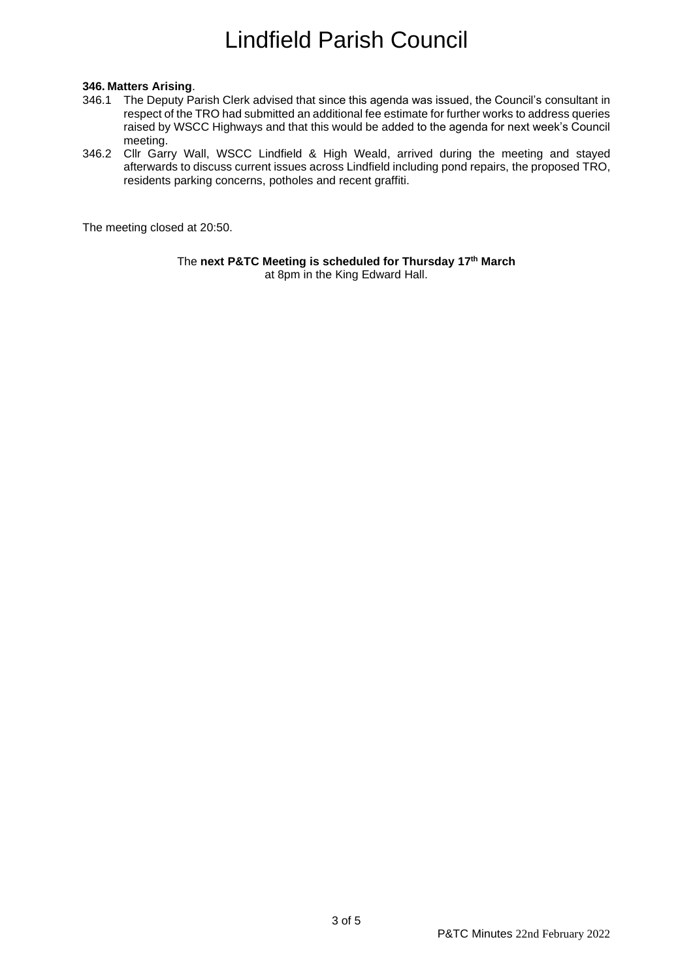#### **346. Matters Arising**.

- 346.1 The Deputy Parish Clerk advised that since this agenda was issued, the Council's consultant in respect of the TRO had submitted an additional fee estimate for further works to address queries raised by WSCC Highways and that this would be added to the agenda for next week's Council meeting.
- 346.2 Cllr Garry Wall, WSCC Lindfield & High Weald, arrived during the meeting and stayed afterwards to discuss current issues across Lindfield including pond repairs, the proposed TRO, residents parking concerns, potholes and recent graffiti.

The meeting closed at 20:50.

The **next P&TC Meeting is scheduled for Thursday 17th March** at 8pm in the King Edward Hall.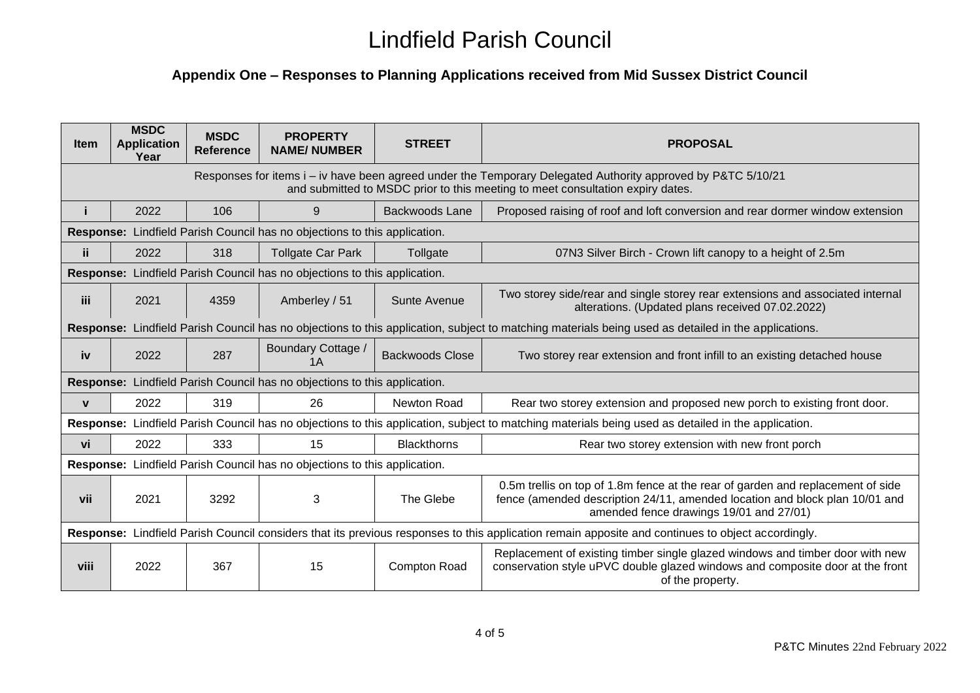### **Appendix One – Responses to Planning Applications received from Mid Sussex District Council**

| <b>Item</b>                                                                                                                                                                                    | <b>MSDC</b><br><b>Application</b><br>Year | <b>MSDC</b><br><b>Reference</b> | <b>PROPERTY</b><br><b>NAME/NUMBER</b> | <b>STREET</b>          | <b>PROPOSAL</b>                                                                                                                                                                                           |  |  |
|------------------------------------------------------------------------------------------------------------------------------------------------------------------------------------------------|-------------------------------------------|---------------------------------|---------------------------------------|------------------------|-----------------------------------------------------------------------------------------------------------------------------------------------------------------------------------------------------------|--|--|
| Responses for items i – iv have been agreed under the Temporary Delegated Authority approved by P&TC 5/10/21<br>and submitted to MSDC prior to this meeting to meet consultation expiry dates. |                                           |                                 |                                       |                        |                                                                                                                                                                                                           |  |  |
|                                                                                                                                                                                                | 2022                                      | 106                             | 9                                     | Backwoods Lane         | Proposed raising of roof and loft conversion and rear dormer window extension                                                                                                                             |  |  |
| Response: Lindfield Parish Council has no objections to this application.                                                                                                                      |                                           |                                 |                                       |                        |                                                                                                                                                                                                           |  |  |
| ii.                                                                                                                                                                                            | 2022                                      | 318                             | <b>Tollgate Car Park</b>              | Tollgate               | 07N3 Silver Birch - Crown lift canopy to a height of 2.5m                                                                                                                                                 |  |  |
| Response: Lindfield Parish Council has no objections to this application.                                                                                                                      |                                           |                                 |                                       |                        |                                                                                                                                                                                                           |  |  |
| <b>iii</b>                                                                                                                                                                                     | 2021                                      | 4359                            | Amberley / 51                         | Sunte Avenue           | Two storey side/rear and single storey rear extensions and associated internal<br>alterations. (Updated plans received 07.02.2022)                                                                        |  |  |
| Response: Lindfield Parish Council has no objections to this application, subject to matching materials being used as detailed in the applications.                                            |                                           |                                 |                                       |                        |                                                                                                                                                                                                           |  |  |
| iv                                                                                                                                                                                             | 2022                                      | 287                             | Boundary Cottage /<br>1 A             | <b>Backwoods Close</b> | Two storey rear extension and front infill to an existing detached house                                                                                                                                  |  |  |
| Response: Lindfield Parish Council has no objections to this application.                                                                                                                      |                                           |                                 |                                       |                        |                                                                                                                                                                                                           |  |  |
| $\mathbf{v}$                                                                                                                                                                                   | 2022                                      | 319                             | 26                                    | <b>Newton Road</b>     | Rear two storey extension and proposed new porch to existing front door.                                                                                                                                  |  |  |
| Response: Lindfield Parish Council has no objections to this application, subject to matching materials being used as detailed in the application.                                             |                                           |                                 |                                       |                        |                                                                                                                                                                                                           |  |  |
| vi                                                                                                                                                                                             | 2022                                      | 333                             | 15                                    | <b>Blackthorns</b>     | Rear two storey extension with new front porch                                                                                                                                                            |  |  |
| Response: Lindfield Parish Council has no objections to this application.                                                                                                                      |                                           |                                 |                                       |                        |                                                                                                                                                                                                           |  |  |
| vii                                                                                                                                                                                            | 2021                                      | 3292                            | 3                                     | The Glebe              | 0.5m trellis on top of 1.8m fence at the rear of garden and replacement of side<br>fence (amended description 24/11, amended location and block plan 10/01 and<br>amended fence drawings 19/01 and 27/01) |  |  |
| Response: Lindfield Parish Council considers that its previous responses to this application remain apposite and continues to object accordingly.                                              |                                           |                                 |                                       |                        |                                                                                                                                                                                                           |  |  |
| viii                                                                                                                                                                                           | 2022                                      | 367                             | 15                                    | Compton Road           | Replacement of existing timber single glazed windows and timber door with new<br>conservation style uPVC double glazed windows and composite door at the front<br>of the property.                        |  |  |